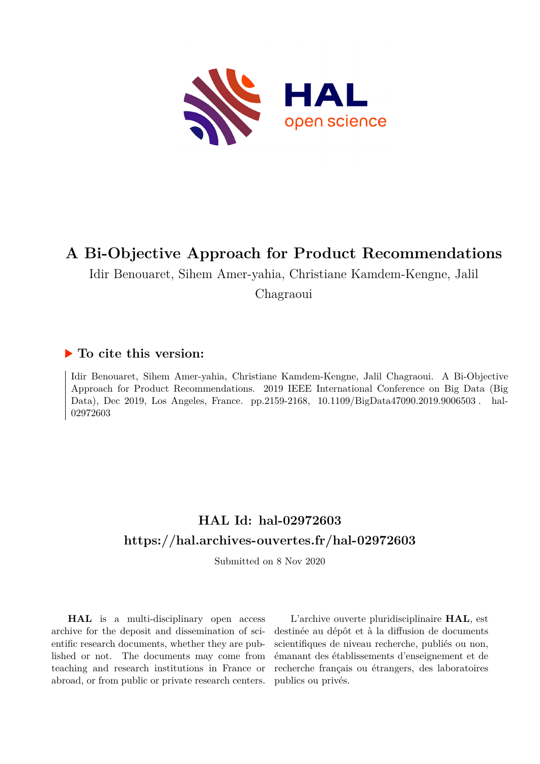

## **A Bi-Objective Approach for Product Recommendations**

Idir Benouaret, Sihem Amer-yahia, Christiane Kamdem-Kengne, Jalil

Chagraoui

### **To cite this version:**

Idir Benouaret, Sihem Amer-yahia, Christiane Kamdem-Kengne, Jalil Chagraoui. A Bi-Objective Approach for Product Recommendations. 2019 IEEE International Conference on Big Data (Big Data), Dec 2019, Los Angeles, France. pp.2159-2168, 10.1109/BigData47090.2019.9006503. hal-02972603ff

## **HAL Id: hal-02972603 <https://hal.archives-ouvertes.fr/hal-02972603>**

Submitted on 8 Nov 2020

**HAL** is a multi-disciplinary open access archive for the deposit and dissemination of scientific research documents, whether they are published or not. The documents may come from teaching and research institutions in France or abroad, or from public or private research centers.

L'archive ouverte pluridisciplinaire **HAL**, est destinée au dépôt et à la diffusion de documents scientifiques de niveau recherche, publiés ou non, émanant des établissements d'enseignement et de recherche français ou étrangers, des laboratoires publics ou privés.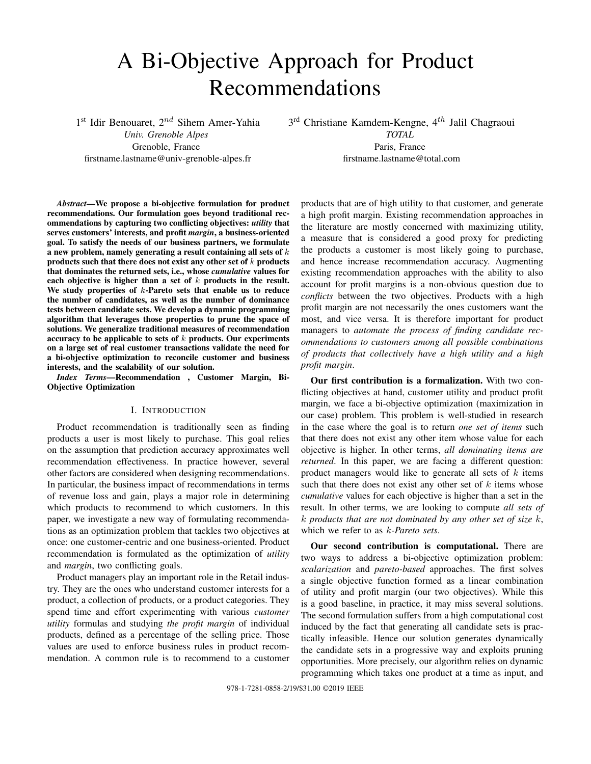# A Bi-Objective Approach for Product Recommendations

1<sup>st</sup> Idir Benouaret, 2<sup>nd</sup> Sihem Amer-Yahia

*Univ. Grenoble Alpes* Grenoble, France firstname.lastname@univ-grenoble-alpes.fr 3<sup>rd</sup> Christiane Kamdem-Kengne, 4<sup>th</sup> Jalil Chagraoui *TOTAL* Paris, France firstname.lastname@total.com

*Abstract*—We propose a bi-objective formulation for product recommendations. Our formulation goes beyond traditional recommendations by capturing two conflicting objectives: *utility* that serves customers' interests, and profit *margin*, a business-oriented goal. To satisfy the needs of our business partners, we formulate a new problem, namely generating a result containing all sets of k products such that there does not exist any other set of  $k$  products that dominates the returned sets, i.e., whose *cumulative* values for each objective is higher than a set of  $k$  products in the result. We study properties of  $k$ -Pareto sets that enable us to reduce the number of candidates, as well as the number of dominance tests between candidate sets. We develop a dynamic programming algorithm that leverages those properties to prune the space of solutions. We generalize traditional measures of recommendation accuracy to be applicable to sets of  $k$  products. Our experiments on a large set of real customer transactions validate the need for a bi-objective optimization to reconcile customer and business interests, and the scalability of our solution.

*Index Terms*—Recommendation , Customer Margin, Bi-Objective Optimization

#### I. INTRODUCTION

Product recommendation is traditionally seen as finding products a user is most likely to purchase. This goal relies on the assumption that prediction accuracy approximates well recommendation effectiveness. In practice however, several other factors are considered when designing recommendations. In particular, the business impact of recommendations in terms of revenue loss and gain, plays a major role in determining which products to recommend to which customers. In this paper, we investigate a new way of formulating recommendations as an optimization problem that tackles two objectives at once: one customer-centric and one business-oriented. Product recommendation is formulated as the optimization of *utility* and *margin*, two conflicting goals.

Product managers play an important role in the Retail industry. They are the ones who understand customer interests for a product, a collection of products, or a product categories. They spend time and effort experimenting with various *customer utility* formulas and studying *the profit margin* of individual products, defined as a percentage of the selling price. Those values are used to enforce business rules in product recommendation. A common rule is to recommend to a customer

products that are of high utility to that customer, and generate a high profit margin. Existing recommendation approaches in the literature are mostly concerned with maximizing utility, a measure that is considered a good proxy for predicting the products a customer is most likely going to purchase, and hence increase recommendation accuracy. Augmenting existing recommendation approaches with the ability to also account for profit margins is a non-obvious question due to *conflicts* between the two objectives. Products with a high profit margin are not necessarily the ones customers want the most, and vice versa. It is therefore important for product managers to *automate the process of finding candidate recommendations to customers among all possible combinations of products that collectively have a high utility and a high profit margin*.

Our first contribution is a formalization. With two conflicting objectives at hand, customer utility and product profit margin, we face a bi-objective optimization (maximization in our case) problem. This problem is well-studied in research in the case where the goal is to return *one set of items* such that there does not exist any other item whose value for each objective is higher. In other terms, *all dominating items are returned*. In this paper, we are facing a different question: product managers would like to generate all sets of  $k$  items such that there does not exist any other set of  $k$  items whose *cumulative* values for each objective is higher than a set in the result. In other terms, we are looking to compute *all sets of* k *products that are not dominated by any other set of size* k, which we refer to as k*-Pareto sets*.

Our second contribution is computational. There are two ways to address a bi-objective optimization problem: *scalarization* and *pareto-based* approaches. The first solves a single objective function formed as a linear combination of utility and profit margin (our two objectives). While this is a good baseline, in practice, it may miss several solutions. The second formulation suffers from a high computational cost induced by the fact that generating all candidate sets is practically infeasible. Hence our solution generates dynamically the candidate sets in a progressive way and exploits pruning opportunities. More precisely, our algorithm relies on dynamic programming which takes one product at a time as input, and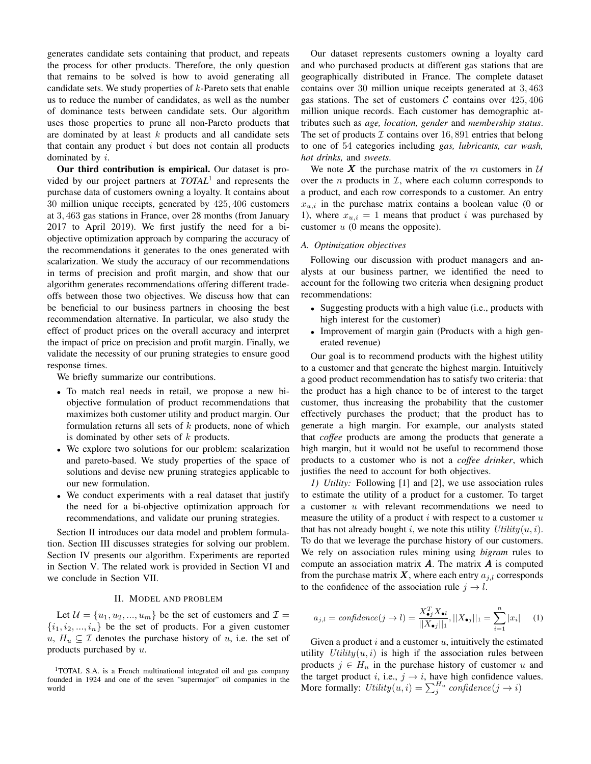generates candidate sets containing that product, and repeats the process for other products. Therefore, the only question that remains to be solved is how to avoid generating all candidate sets. We study properties of  $k$ -Pareto sets that enable us to reduce the number of candidates, as well as the number of dominance tests between candidate sets. Our algorithm uses those properties to prune all non-Pareto products that are dominated by at least k products and all candidate sets that contain any product  $i$  but does not contain all products dominated by i.

Our third contribution is empirical. Our dataset is provided by our project partners at *TOTAL*<sup>1</sup> and represents the purchase data of customers owning a loyalty. It contains about 30 million unique receipts, generated by 425, 406 customers at 3, 463 gas stations in France, over 28 months (from January 2017 to April 2019). We first justify the need for a biobjective optimization approach by comparing the accuracy of the recommendations it generates to the ones generated with scalarization. We study the accuracy of our recommendations in terms of precision and profit margin, and show that our algorithm generates recommendations offering different tradeoffs between those two objectives. We discuss how that can be beneficial to our business partners in choosing the best recommendation alternative. In particular, we also study the effect of product prices on the overall accuracy and interpret the impact of price on precision and profit margin. Finally, we validate the necessity of our pruning strategies to ensure good response times.

We briefly summarize our contributions.

- To match real needs in retail, we propose a new biobjective formulation of product recommendations that maximizes both customer utility and product margin. Our formulation returns all sets of  $k$  products, none of which is dominated by other sets of  $k$  products.
- We explore two solutions for our problem: scalarization and pareto-based. We study properties of the space of solutions and devise new pruning strategies applicable to our new formulation.
- We conduct experiments with a real dataset that justify the need for a bi-objective optimization approach for recommendations, and validate our pruning strategies.

Section II introduces our data model and problem formulation. Section III discusses strategies for solving our problem. Section IV presents our algorithm. Experiments are reported in Section V. The related work is provided in Section VI and we conclude in Section VII.

#### II. MODEL AND PROBLEM

Let  $\mathcal{U} = \{u_1, u_2, ..., u_m\}$  be the set of customers and  $\mathcal{I} =$  $\{i_1, i_2, ..., i_n\}$  be the set of products. For a given customer  $u, H_u \subseteq \mathcal{I}$  denotes the purchase history of u, i.e. the set of products purchased by  $u$ .

<sup>1</sup>TOTAL S.A. is a French multinational integrated oil and gas company founded in 1924 and one of the seven "supermajor" oil companies in the world

Our dataset represents customers owning a loyalty card and who purchased products at different gas stations that are geographically distributed in France. The complete dataset contains over 30 million unique receipts generated at 3, 463 gas stations. The set of customers  $C$  contains over  $425,406$ million unique records. Each customer has demographic attributes such as *age, location, gender* and *membership status*. The set of products  $\mathcal I$  contains over 16, 891 entries that belong to one of 54 categories including *gas, lubricants, car wash, hot drinks,* and *sweets*.

We note X the purchase matrix of the  $m$  customers in  $U$ over the *n* products in  $I$ , where each column corresponds to a product, and each row corresponds to a customer. An entry  $x_{u,i}$  in the purchase matrix contains a boolean value (0 or 1), where  $x_{u,i} = 1$  means that product i was purchased by customer  $u$  (0 means the opposite).

#### *A. Optimization objectives*

Following our discussion with product managers and analysts at our business partner, we identified the need to account for the following two criteria when designing product recommendations:

- Suggesting products with a high value (i.e., products with high interest for the customer)
- Improvement of margin gain (Products with a high generated revenue)

Our goal is to recommend products with the highest utility to a customer and that generate the highest margin. Intuitively a good product recommendation has to satisfy two criteria: that the product has a high chance to be of interest to the target customer, thus increasing the probability that the customer effectively purchases the product; that the product has to generate a high margin. For example, our analysts stated that *coffee* products are among the products that generate a high margin, but it would not be useful to recommend those products to a customer who is not a *coffee drinker*, which justifies the need to account for both objectives.

*1) Utility:* Following [1] and [2], we use association rules to estimate the utility of a product for a customer. To target a customer u with relevant recommendations we need to measure the utility of a product  $i$  with respect to a customer  $u$ that has not already bought i, we note this utility  $Utility(u, i)$ . To do that we leverage the purchase history of our customers. We rely on association rules mining using *bigram* rules to compute an association matrix  $A$ . The matrix  $A$  is computed from the purchase matrix X, where each entry  $a_{j,l}$  corresponds to the confidence of the association rule  $j \rightarrow l$ .

$$
a_{j,l} = \text{confidence}(j \to l) = \frac{X_{\bullet j}^T X_{\bullet l}}{||X_{\bullet j}||_1}, ||X_{\bullet j}||_1 = \sum_{i=1}^n |x_i| \quad (1)
$$

Given a product  $i$  and a customer  $u$ , intuitively the estimated utility  $Utility(u, i)$  is high if the association rules between products  $j \in H_u$  in the purchase history of customer u and the target product i, i.e.,  $j \rightarrow i$ , have high confidence values. More formally:  $Utility(u, i) = \sum_{j}^{H_u} confidence(j \rightarrow i)$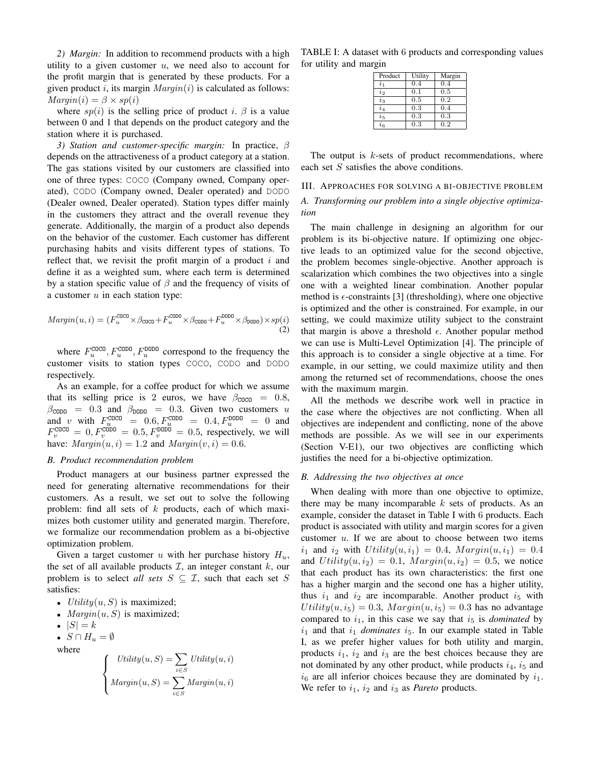*2) Margin:* In addition to recommend products with a high utility to a given customer  $u$ , we need also to account for the profit margin that is generated by these products. For a given product i, its margin  $Margin(i)$  is calculated as follows:  $Marqin(i) = \beta \times sp(i)$ 

where  $sp(i)$  is the selling price of product i.  $\beta$  is a value between 0 and 1 that depends on the product category and the station where it is purchased.

*3) Station and customer-specific margin:* In practice, β depends on the attractiveness of a product category at a station. The gas stations visited by our customers are classified into one of three types: COCO (Company owned, Company operated), CODO (Company owned, Dealer operated) and DODO (Dealer owned, Dealer operated). Station types differ mainly in the customers they attract and the overall revenue they generate. Additionally, the margin of a product also depends on the behavior of the customer. Each customer has different purchasing habits and visits different types of stations. To reflect that, we revisit the profit margin of a product  $i$  and define it as a weighted sum, where each term is determined by a station specific value of  $\beta$  and the frequency of visits of a customer  $u$  in each station type:

$$
Margin(u, i) = (F_u^{\text{COCO}} \times \beta_{\text{COCO}} + F_u^{\text{CODO}} \times \beta_{\text{CODO}} + F_u^{\text{DODO}} \times \beta_{\text{DODO}}) \times sp(i)
$$
\n(2)

where  $F_u^{\text{COCO}}$ ,  $F_u^{\text{CODO}}$ ,  $F_u^{\text{DODO}}$  correspond to the frequency the customer visits to station types COCO, CODO and DODO respectively.

As an example, for a coffee product for which we assume that its selling price is 2 euros, we have  $\beta_{\text{COCO}} = 0.8$ ,  $\beta_{\text{CODO}} = 0.3$  and  $\beta_{\text{DODO}} = 0.3$ . Given two customers u and v with  $F_u^{\text{COCO}} = 0.6, F_u^{\text{CODO}} = 0.4, F_u^{\text{DDDO}} = 0$  and  $F_v^{\text{COCO}} = 0, F_v^{\text{CODO}} = 0.5, F_v^{\text{DDDO}} = 0.5$ , respectively, we will have:  $Margin(u, i) = 1.2$  and  $Margin(v, i) = 0.6$ .

#### *B. Product recommendation problem*

Product managers at our business partner expressed the need for generating alternative recommendations for their customers. As a result, we set out to solve the following problem: find all sets of  $k$  products, each of which maximizes both customer utility and generated margin. Therefore, we formalize our recommendation problem as a bi-objective optimization problem.

Given a target customer u with her purchase history  $H_u$ , the set of all available products  $\mathcal{I}$ , an integer constant  $k$ , our problem is to select *all sets*  $S \subseteq \mathcal{I}$ , such that each set S satisfies:

- *Utility* $(u, S)$  is maximized;
- $Margin(u, S)$  is maximized;
- $|S| = k$
- $S \cap H_u = \emptyset$

where

$$
\left\{ \begin{aligned} Utility(u,S)&=\sum_{i\in S}Utility(u,i)\\Margin(u,S)&=\sum_{i\in S}Margin(u,i) \end{aligned} \right.
$$

TABLE I: A dataset with 6 products and corresponding values for utility and margin

| Product          | Utility | Margin |
|------------------|---------|--------|
| $\overline{i}_1$ | 0.4     | 0.4    |
| $i_2$            | 0.1     | 0.5    |
| $i_{3}$          | 0.5     | 0.2    |
| $i_4$            | 0.3     | 0.4    |
| $i_{5}$          | 0.3     | 0.3    |
| $i_{6}$          | 0.3     | 0.2    |

The output is  $k$ -sets of product recommendations, where each set  $S$  satisfies the above conditions.

#### III. APPROACHES FOR SOLVING A BI-OBJECTIVE PROBLEM

#### *A. Transforming our problem into a single objective optimization*

The main challenge in designing an algorithm for our problem is its bi-objective nature. If optimizing one objective leads to an optimized value for the second objective, the problem becomes single-objective. Another approach is scalarization which combines the two objectives into a single one with a weighted linear combination. Another popular method is  $\epsilon$ -constraints [3] (thresholding), where one objective is optimized and the other is constrained. For example, in our setting, we could maximize utility subject to the constraint that margin is above a threshold  $\epsilon$ . Another popular method we can use is Multi-Level Optimization [4]. The principle of this approach is to consider a single objective at a time. For example, in our setting, we could maximize utility and then among the returned set of recommendations, choose the ones with the maximum margin.

All the methods we describe work well in practice in the case where the objectives are not conflicting. When all objectives are independent and conflicting, none of the above methods are possible. As we will see in our experiments (Section V-E1), our two objectives are conflicting which justifies the need for a bi-objective optimization.

#### *B. Addressing the two objectives at once*

When dealing with more than one objective to optimize, there may be many incomparable  $k$  sets of products. As an example, consider the dataset in Table I with 6 products. Each product is associated with utility and margin scores for a given customer  $u$ . If we are about to choose between two items  $i_1$  and  $i_2$  with  $Utility(u, i_1) = 0.4, Margin(u, i_1) = 0.4$ and  $Utility(u, i_2) = 0.1, Margin(u, i_2) = 0.5$ , we notice that each product has its own characteristics: the first one has a higher margin and the second one has a higher utility, thus  $i_1$  and  $i_2$  are incomparable. Another product  $i_5$  with  $Utility(u, i_5) = 0.3, Margin(u, i_5) = 0.3$  has no advantage compared to  $i_1$ , in this case we say that  $i_5$  is *dominated* by  $i_1$  and that  $i_1$  *dominates*  $i_5$ . In our example stated in Table I, as we prefer higher values for both utility and margin, products  $i_1$ ,  $i_2$  and  $i_3$  are the best choices because they are not dominated by any other product, while products  $i_4$ ,  $i_5$  and  $i<sub>6</sub>$  are all inferior choices because they are dominated by  $i<sub>1</sub>$ . We refer to  $i_1$ ,  $i_2$  and  $i_3$  as *Pareto* products.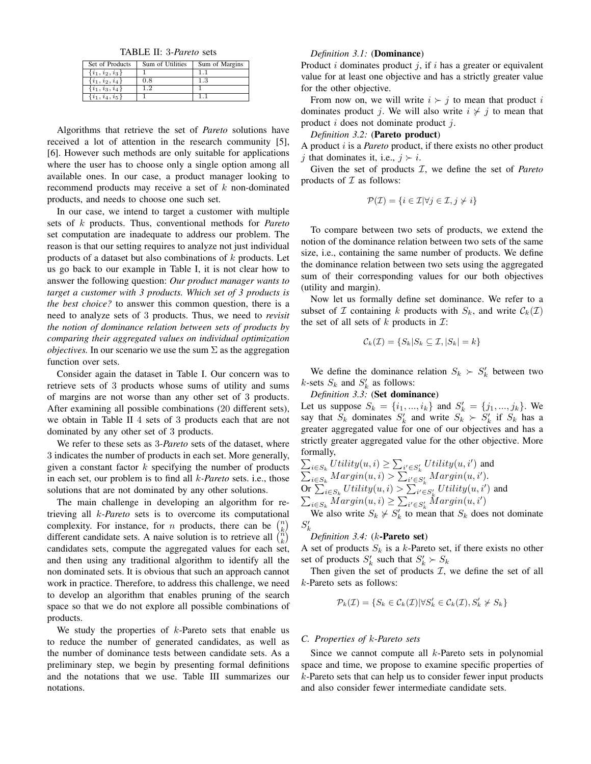TABLE II: 3*-Pareto* sets

| Set of Products     | Sum of Utilities | Sum of Margins |
|---------------------|------------------|----------------|
| $\{i_1, i_2, i_3\}$ |                  |                |
| $\{i_1, i_2, i_4\}$ | 0.8              | 1.3            |
| $\{i_1, i_3, i_4\}$ | 12               |                |
| $\{i_1, i_4, i_5\}$ |                  |                |

Algorithms that retrieve the set of *Pareto* solutions have received a lot of attention in the research community [5], [6]. However such methods are only suitable for applications where the user has to choose only a single option among all available ones. In our case, a product manager looking to recommend products may receive a set of k non-dominated products, and needs to choose one such set.

In our case, we intend to target a customer with multiple sets of k products. Thus, conventional methods for *Pareto* set computation are inadequate to address our problem. The reason is that our setting requires to analyze not just individual products of a dataset but also combinations of  $k$  products. Let us go back to our example in Table I, it is not clear how to answer the following question: *Our product manager wants to target a customer with 3 products. Which set of 3 products is the best choice?* to answer this common question, there is a need to analyze sets of 3 products. Thus, we need to *revisit the notion of dominance relation between sets of products by comparing their aggregated values on individual optimization objectives*. In our scenario we use the sum  $\Sigma$  as the aggregation function over sets.

Consider again the dataset in Table I. Our concern was to retrieve sets of 3 products whose sums of utility and sums of margins are not worse than any other set of 3 products. After examining all possible combinations (20 different sets), we obtain in Table II 4 sets of 3 products each that are not dominated by any other set of 3 products.

We refer to these sets as 3*-Pareto* sets of the dataset, where 3 indicates the number of products in each set. More generally, given a constant factor  $k$  specifying the number of products in each set, our problem is to find all k*-Pareto* sets. i.e., those solutions that are not dominated by any other solutions.

The main challenge in developing an algorithm for retrieving all k*-Pareto* sets is to overcome its computational complexity. For instance, for *n* products, there can be  $\binom{n}{k}$ different candidate sets. A naive solution is to retrieve all  $\binom{n}{k}$ candidates sets, compute the aggregated values for each set, and then using any traditional algorithm to identify all the non dominated sets. It is obvious that such an approach cannot work in practice. Therefore, to address this challenge, we need to develop an algorithm that enables pruning of the search space so that we do not explore all possible combinations of products.

We study the properties of  $k$ -Pareto sets that enable us to reduce the number of generated candidates, as well as the number of dominance tests between candidate sets. As a preliminary step, we begin by presenting formal definitions and the notations that we use. Table III summarizes our notations.

#### *Definition 3.1:* (Dominance)

Product i dominates product *i*, if i has a greater or equivalent value for at least one objective and has a strictly greater value for the other objective.

From now on, we will write  $i \succ j$  to mean that product i dominates product j. We will also write  $i \nless j$  to mean that product  $i$  does not dominate product  $i$ .

*Definition 3.2:* (Pareto product)

A product i is a *Pareto* product, if there exists no other product j that dominates it, i.e.,  $j \succ i$ .

Given the set of products I, we define the set of *Pareto* products of  $\mathcal I$  as follows:

$$
\mathcal{P}(\mathcal{I}) = \{i \in \mathcal{I} | \forall j \in \mathcal{I}, j \neq i\}
$$

To compare between two sets of products, we extend the notion of the dominance relation between two sets of the same size, i.e., containing the same number of products. We define the dominance relation between two sets using the aggregated sum of their corresponding values for our both objectives (utility and margin).

Now let us formally define set dominance. We refer to a subset of Z containing k products with  $S_k$ , and write  $\mathcal{C}_k(\mathcal{I})$ the set of all sets of  $k$  products in  $\mathcal{I}$ :

$$
\mathcal{C}_k(\mathcal{I}) = \{ S_k | S_k \subseteq \mathcal{I}, |S_k| = k \}
$$

We define the dominance relation  $S_k \succ S'_k$  between two *k*-sets  $S_k$  and  $S'_k$  as follows:

*Definition 3.3:* (Set dominance)

Let us suppose  $S_k = \{i_1, ..., i_k\}$  and  $S'_k = \{j_1, ..., j_k\}$ . We say that  $S_k$  dominates  $S'_k$  and write  $S_k > S'_k$  if  $S_k$  has a greater aggregated value for one of our objectives and has a strictly greater aggregated value for the other objective. More formally,

$$
\sum_{i \in S_k} Utility(u, i) \ge \sum_{i' \in S'_k}Utility(u, i')
$$
 and  

$$
\sum_{i \in S_k}Margin(u, i) > \sum_{i' \in S'_k}Margin(u, i').
$$
 Or 
$$
\sum_{i \in S_k} Utility(u, i) > \sum_{i' \in S'_k}Utility(u, i')
$$
 and  

$$
\sum_{i \in S_k} Margin(u, i) \ge \sum_{i' \in S'_k} Margin(u, i')
$$

We also write  $S_k \nsucc S'_k$  to mean that  $S_k$  does not dominate  $S_k'$ 

#### *Definition 3.4:* (k-Pareto set)

A set of products  $S_k$  is a k-Pareto set, if there exists no other set of products  $S'_k$  such that  $S'_k \succ S_k$ 

Then given the set of products  $I$ , we define the set of all k-Pareto sets as follows:

$$
\mathcal{P}_k(\mathcal{I}) = \{ S_k \in \mathcal{C}_k(\mathcal{I}) | \forall S'_k \in \mathcal{C}_k(\mathcal{I}), S'_k \nsucc S_k \}
$$

#### *C. Properties of* k*-Pareto sets*

Since we cannot compute all k-Pareto sets in polynomial space and time, we propose to examine specific properties of  $k$ -Pareto sets that can help us to consider fewer input products and also consider fewer intermediate candidate sets.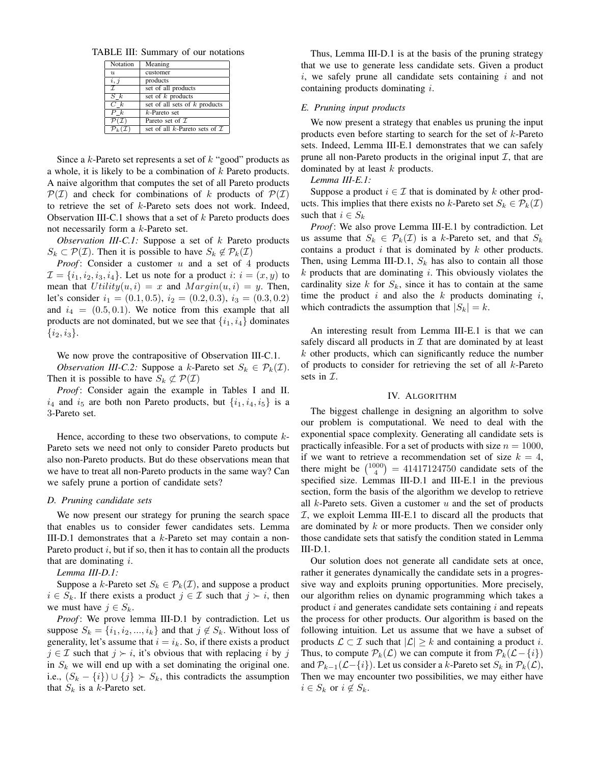TABLE III: Summary of our notations

| Notation                   | Meaning                                  |
|----------------------------|------------------------------------------|
| $\overline{\mathbf{u}}$    | customer                                 |
| i, j                       | products                                 |
| $\mathcal{I}$              | set of all products                      |
| $S\;k$                     | set of $k$ products                      |
| $C_{k}$                    | set of all sets of $k$ products          |
| $P_{k}$                    | $k$ -Pareto set                          |
| $\mathcal{P}(\mathcal{I})$ | Pareto set of $\mathcal I$               |
| ${\cal P}_k$ (             | set of all k-Pareto sets of $\mathcal I$ |

Since a  $k$ -Pareto set represents a set of  $k$  "good" products as a whole, it is likely to be a combination of  $k$  Pareto products. A naive algorithm that computes the set of all Pareto products  $\mathcal{P}(\mathcal{I})$  and check for combinations of k products of  $\mathcal{P}(\mathcal{I})$ to retrieve the set of k-Pareto sets does not work. Indeed, Observation III-C.1 shows that a set of  $k$  Pareto products does not necessarily form a k-Pareto set.

*Observation III-C.1:* Suppose a set of k Pareto products  $S_k \subset \mathcal{P}(\mathcal{I})$ . Then it is possible to have  $S_k \notin \mathcal{P}_k(\mathcal{I})$ 

*Proof*: Consider a customer u and a set of 4 products  $\mathcal{I} = \{i_1, i_2, i_3, i_4\}$ . Let us note for a product  $i: i = (x, y)$  to mean that  $Utility(u, i) = x$  and  $Margin(u, i) = y$ . Then, let's consider  $i_1 = (0.1, 0.5), i_2 = (0.2, 0.3), i_3 = (0.3, 0.2)$ and  $i_4 = (0.5, 0.1)$ . We notice from this example that all products are not dominated, but we see that  $\{i_1, i_4\}$  dominates  $\{i_2, i_3\}.$ 

We now prove the contrapositive of Observation III-C.1.

*Observation III-C.2:* Suppose a k-Pareto set  $S_k \in \mathcal{P}_k(\mathcal{I})$ . Then it is possible to have  $S_k \not\subset \mathcal{P}(\mathcal{I})$ 

*Proof* : Consider again the example in Tables I and II.  $i_4$  and  $i_5$  are both non Pareto products, but  $\{i_1, i_4, i_5\}$  is a 3-Pareto set.

Hence, according to these two observations, to compute  $k$ -Pareto sets we need not only to consider Pareto products but also non-Pareto products. But do these observations mean that we have to treat all non-Pareto products in the same way? Can we safely prune a portion of candidate sets?

#### *D. Pruning candidate sets*

We now present our strategy for pruning the search space that enables us to consider fewer candidates sets. Lemma III-D.1 demonstrates that a k-Pareto set may contain a non-Pareto product  $i$ , but if so, then it has to contain all the products that are dominating  $i$ .

#### *Lemma III-D.1:*

Suppose a k-Pareto set  $S_k \in \mathcal{P}_k(\mathcal{I})$ , and suppose a product  $i \in S_k$ . If there exists a product  $j \in \mathcal{I}$  such that  $j \succ i$ , then we must have  $j \in S_k$ .

*Proof* : We prove lemma III-D.1 by contradiction. Let us suppose  $S_k = \{i_1, i_2, ..., i_k\}$  and that  $j \notin S_k$ . Without loss of generality, let's assume that  $i = i_k$ . So, if there exists a product  $j \in \mathcal{I}$  such that  $j \succ i$ , it's obvious that with replacing i by j in  $S_k$  we will end up with a set dominating the original one. i.e.,  $(S_k - \{i\}) \cup \{j\} \succ S_k$ , this contradicts the assumption that  $S_k$  is a k-Pareto set.

Thus, Lemma III-D.1 is at the basis of the pruning strategy that we use to generate less candidate sets. Given a product  $i$ , we safely prune all candidate sets containing  $i$  and not containing products dominating i.

#### *E. Pruning input products*

We now present a strategy that enables us pruning the input products even before starting to search for the set of k-Pareto sets. Indeed, Lemma III-E.1 demonstrates that we can safely prune all non-Pareto products in the original input  $\mathcal{I}$ , that are dominated by at least  $k$  products.

#### *Lemma III-E.1:*

Suppose a product  $i \in \mathcal{I}$  that is dominated by k other products. This implies that there exists no k-Pareto set  $S_k \in \mathcal{P}_k(\mathcal{I})$ such that  $i \in S_k$ 

*Proof* : We also prove Lemma III-E.1 by contradiction. Let us assume that  $S_k \in \mathcal{P}_k(\mathcal{I})$  is a k-Pareto set, and that  $S_k$ contains a product  $i$  that is dominated by  $k$  other products. Then, using Lemma III-D.1,  $S_k$  has also to contain all those  $k$  products that are dominating  $i$ . This obviously violates the cardinality size k for  $S_k$ , since it has to contain at the same time the product  $i$  and also the  $k$  products dominating  $i$ , which contradicts the assumption that  $|S_k| = k$ .

An interesting result from Lemma III-E.1 is that we can safely discard all products in  $\mathcal I$  that are dominated by at least  $k$  other products, which can significantly reduce the number of products to consider for retrieving the set of all  $k$ -Pareto sets in  $\mathcal{I}.$ 

#### IV. ALGORITHM

The biggest challenge in designing an algorithm to solve our problem is computational. We need to deal with the exponential space complexity. Generating all candidate sets is practically infeasible. For a set of products with size  $n = 1000$ , if we want to retrieve a recommendation set of size  $k = 4$ , there might be  $\binom{1000}{4} = 41417124750$  candidate sets of the specified size. Lemmas III-D.1 and III-E.1 in the previous section, form the basis of the algorithm we develop to retrieve all  $k$ -Pareto sets. Given a customer  $u$  and the set of products  $I$ , we exploit Lemma III-E.1 to discard all the products that are dominated by k or more products. Then we consider only those candidate sets that satisfy the condition stated in Lemma III-D.1.

Our solution does not generate all candidate sets at once, rather it generates dynamically the candidate sets in a progressive way and exploits pruning opportunities. More precisely, our algorithm relies on dynamic programming which takes a product  $i$  and generates candidate sets containing  $i$  and repeats the process for other products. Our algorithm is based on the following intuition. Let us assume that we have a subset of products  $\mathcal{L} \subset \mathcal{I}$  such that  $|\mathcal{L}| \geq k$  and containing a product i. Thus, to compute  $\mathcal{P}_k(\mathcal{L})$  we can compute it from  $\mathcal{P}_k(\mathcal{L}-\{i\})$ and  $\mathcal{P}_{k-1}(\mathcal{L}-\{i\})$ . Let us consider a k-Pareto set  $S_k$  in  $\mathcal{P}_k(\mathcal{L})$ , Then we may encounter two possibilities, we may either have  $i \in S_k$  or  $i \notin S_k$ .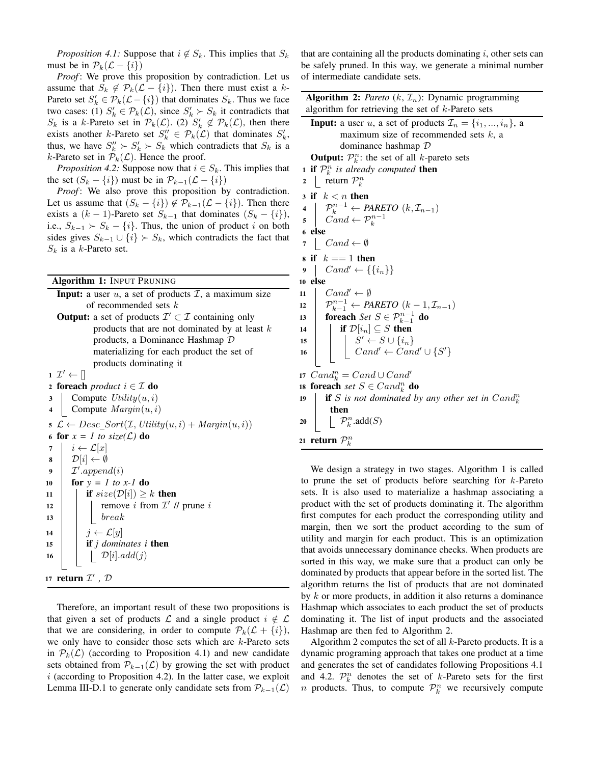*Proposition 4.1:* Suppose that  $i \notin S_k$ . This implies that  $S_k$ must be in  $\mathcal{P}_k(\mathcal{L} - \{i\})$ 

*Proof*: We prove this proposition by contradiction. Let us assume that  $S_k \notin \mathcal{P}_k(\mathcal{L} - \{i\})$ . Then there must exist a k-Pareto set  $S'_k \in \mathcal{P}_k(\mathcal{L} - \{i\})$  that dominates  $S_k$ . Thus we face two cases: (1)  $S'_k \in \mathcal{P}_k(\mathcal{L})$ , since  $S'_k \succ S_k$  it contradicts that  $S_k$  is a k-Pareto set in  $\mathcal{P}_k(\mathcal{L})$ . (2)  $S'_k \notin \mathcal{P}_k(\mathcal{L})$ , then there exists another k-Pareto set  $S_k'' \in \mathcal{P}_k(\mathcal{L})$  that dominates  $S_k'$ , thus, we have  $S_k'' \succ S_k' \succ S_k$  which contradicts that  $S_k$  is a k-Pareto set in  $\mathcal{P}_k(\mathcal{L})$ . Hence the proof.

*Proposition 4.2:* Suppose now that  $i \in S_k$ . This implies that the set  $(S_k - \{i\})$  must be in  $\mathcal{P}_{k-1}(\mathcal{L} - \{i\})$ 

*Proof* : We also prove this proposition by contradiction. Let us assume that  $(S_k - \{i\}) \notin \mathcal{P}_{k-1}(\mathcal{L} - \{i\})$ . Then there exists a  $(k-1)$ -Pareto set  $S_{k-1}$  that dominates  $(S_k - \{i\})$ , i.e.,  $S_{k-1} \succ S_k - \{i\}$ . Thus, the union of product i on both sides gives  $S_{k-1} \cup \{i\} \succ S_k$ , which contradicts the fact that  $S_k$  is a k-Pareto set.

Algorithm 1: INPUT PRUNING

| <b>Input:</b> a user $u$ , a set of products $\mathcal{I}$ , a maximum size         |
|-------------------------------------------------------------------------------------|
| of recommended sets $k$                                                             |
| <b>Output:</b> a set of products $\mathcal{I}' \subset \mathcal{I}$ containing only |

products that are not dominated by at least  $k$ products, a Dominance Hashmap D materializing for each product the set of products dominating it

 $1 \mathcal{I}' \leftarrow []$ 

2 foreach *product*  $i \in \mathcal{I}$  do

3 Compute  $Utility(u, i)$ 

4 Compute  $Margin(u, i)$ 

5  $\mathcal{L} \leftarrow Desc\_Sort(\mathcal{I}, Utility(u,i)+Margin(u,i))$ 6 for  $x = 1$  to size( $\mathcal{L}$ ) do 7  $i \leftarrow \mathcal{L}[x]$  $\mathbf{s}$  |  $\mathcal{D}[i] \leftarrow \emptyset$  $\mathfrak{g} \mid \mathcal{I}'.append(i)$ 10 **for**  $y = 1$  to  $x - 1$  do 11 **if**  $size(\mathcal{D}[i]) \geq k$  then 12 | | remove i from  $\mathcal{I}'$  // prune i  $13$  break 14 |  $j \leftarrow \mathcal{L}[y]$ <sup>15</sup> if *j dominates i* then 16 | |  $\mathcal{D}[i]$ .add $(j)$ 17 **return**  $\mathcal{I}'$ ,  $\mathcal{D}$ 

Therefore, an important result of these two propositions is that given a set of products  $\mathcal L$  and a single product  $i \notin \mathcal L$ that we are considering, in order to compute  $\mathcal{P}_k(\mathcal{L} + \{i\}),$ we only have to consider those sets which are  $k$ -Pareto sets in  $\mathcal{P}_k(\mathcal{L})$  (according to Proposition 4.1) and new candidate sets obtained from  $\mathcal{P}_{k-1}(\mathcal{L})$  by growing the set with product  $i$  (according to Proposition 4.2). In the latter case, we exploit Lemma III-D.1 to generate only candidate sets from  $\mathcal{P}_{k-1}(\mathcal{L})$  that are containing all the products dominating  $i$ , other sets can be safely pruned. In this way, we generate a minimal number of intermediate candidate sets.

| <b>Algorithm 2:</b> Pareto $(k, \mathcal{I}_n)$ : Dynamic programming                                                                                   |  |  |
|---------------------------------------------------------------------------------------------------------------------------------------------------------|--|--|
| algorithm for retrieving the set of $k$ -Pareto sets                                                                                                    |  |  |
| <b>Input:</b> a user u, a set of products $\mathcal{I}_n = \{i_1, , i_n\}$ , a                                                                          |  |  |
| maximum size of recommended sets $k$ , a                                                                                                                |  |  |
| dominance hashmap $D$                                                                                                                                   |  |  |
| <b>Output:</b> $\mathcal{P}_k^n$ : the set of all k-pareto sets                                                                                         |  |  |
| <b>1 if</b> $\mathcal{P}_k^n$ is already computed <b>then</b>                                                                                           |  |  |
| return $\mathcal{P}_k^n$<br>$\boldsymbol{2}$                                                                                                            |  |  |
| 3 if $k < n$ then                                                                                                                                       |  |  |
| 4                                                                                                                                                       |  |  |
| $\begin{array}{ll} & \mathcal{P}_k^{n-1} \leftarrow PARETO\,\left(k,\mathcal{I}_{n-1}\right) \\ & Cand \leftarrow \mathcal{P}_k^{n-1} \end{array}$<br>5 |  |  |
| 6 else                                                                                                                                                  |  |  |
| $\vert$ Cand $\leftarrow \emptyset$<br>7                                                                                                                |  |  |
| s if $k == 1$ then                                                                                                                                      |  |  |
| $\left\{ \operatorname{Cand'} \leftarrow \left\{ \{i_n\} \right\} \right\}$<br>9                                                                        |  |  |
| 10 else                                                                                                                                                 |  |  |
| $Cand' \leftarrow \emptyset$<br>11                                                                                                                      |  |  |
| $\mathcal{P}_{k-1}^{n-1} \leftarrow PARETO(k-1, \mathcal{I}_{n-1})$<br>12                                                                               |  |  |
| <b>foreach</b> Set $S \in \mathcal{P}_{k-1}^{n-1}$ do<br>13                                                                                             |  |  |
| if $\mathcal{D}[i_n] \subseteq S$ then<br>14                                                                                                            |  |  |
| 15                                                                                                                                                      |  |  |
| $\left[\begin{array}{c} \dot{S}' \leftarrow S \cup \{i_n\} \ \text{Cand'} \leftarrow \text{Cand'} \cup \{S'\} \end{array}\right]$<br>16                 |  |  |
|                                                                                                                                                         |  |  |
| 17 $Cand_k^n = Cand \cup Cand'$                                                                                                                         |  |  |
| 18 foreach set $S \in Cand_k^n$ do                                                                                                                      |  |  |
| <b>if</b> S is not dominated by any other set in $Cand_k^n$<br>19                                                                                       |  |  |
| then                                                                                                                                                    |  |  |
| $\left  \quad \mathcal{P}_k^n.\text{add}(S) \right $<br>20                                                                                              |  |  |
| 21 return $\mathcal{P}_k^n$                                                                                                                             |  |  |
|                                                                                                                                                         |  |  |

We design a strategy in two stages. Algorithm 1 is called to prune the set of products before searching for k-Pareto sets. It is also used to materialize a hashmap associating a product with the set of products dominating it. The algorithm first computes for each product the corresponding utility and margin, then we sort the product according to the sum of utility and margin for each product. This is an optimization that avoids unnecessary dominance checks. When products are sorted in this way, we make sure that a product can only be dominated by products that appear before in the sorted list. The algorithm returns the list of products that are not dominated by  $k$  or more products, in addition it also returns a dominance Hashmap which associates to each product the set of products dominating it. The list of input products and the associated Hashmap are then fed to Algorithm 2.

Algorithm 2 computes the set of all  $k$ -Pareto products. It is a dynamic programing approach that takes one product at a time and generates the set of candidates following Propositions 4.1 and 4.2.  $\mathcal{P}_k^n$  denotes the set of k-Pareto sets for the first *n* products. Thus, to compute  $\mathcal{P}_k^n$  we recursively compute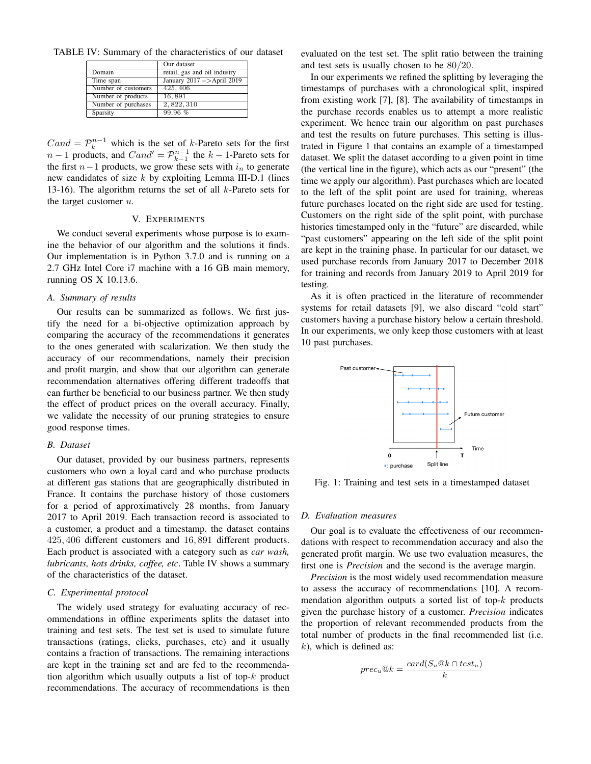TABLE IV: Summary of the characteristics of our dataset

|                     | Our dataset                  |
|---------------------|------------------------------|
| Domain              | retail, gas and oil industry |
| Time span           | January $2017$ ->April 2019  |
| Number of customers | 425, 406                     |
| Number of products  | 16,891                       |
| Number of purchases | 2,822,310                    |
| Sparsity            | 99.96%                       |

 $Cand = \mathcal{P}_k^{n-1}$  which is the set of k-Pareto sets for the first  $n-1$  products, and  $Cand' = \mathcal{P}_{k-1}^{n-1}$  the  $k-1$ -Pareto sets for the first  $n-1$  products, we grow these sets with  $i_n$  to generate new candidates of size  $k$  by exploiting Lemma III-D.1 (lines 13-16). The algorithm returns the set of all  $k$ -Pareto sets for the target customer  $u$ .

#### V. EXPERIMENTS

We conduct several experiments whose purpose is to examine the behavior of our algorithm and the solutions it finds. Our implementation is in Python 3.7.0 and is running on a 2.7 GHz Intel Core i7 machine with a 16 GB main memory, running OS X 10.13.6.

#### *A. Summary of results*

Our results can be summarized as follows. We first justify the need for a bi-objective optimization approach by comparing the accuracy of the recommendations it generates to the ones generated with scalarization. We then study the accuracy of our recommendations, namely their precision and profit margin, and show that our algorithm can generate recommendation alternatives offering different tradeoffs that can further be beneficial to our business partner. We then study the effect of product prices on the overall accuracy. Finally, we validate the necessity of our pruning strategies to ensure good response times.

#### *B. Dataset*

Our dataset, provided by our business partners, represents customers who own a loyal card and who purchase products at different gas stations that are geographically distributed in France. It contains the purchase history of those customers for a period of approximatively 28 months, from January 2017 to April 2019. Each transaction record is associated to a customer, a product and a timestamp. the dataset contains 425, 406 different customers and 16, 891 different products. Each product is associated with a category such as *car wash, lubricants, hots drinks, coffee, etc*. Table IV shows a summary of the characteristics of the dataset.

#### *C. Experimental protocol*

The widely used strategy for evaluating accuracy of recommendations in offline experiments splits the dataset into training and test sets. The test set is used to simulate future transactions (ratings, clicks, purchases, etc) and it usually contains a fraction of transactions. The remaining interactions are kept in the training set and are fed to the recommendation algorithm which usually outputs a list of top- $k$  product recommendations. The accuracy of recommendations is then

evaluated on the test set. The split ratio between the training and test sets is usually chosen to be 80/20.

In our experiments we refined the splitting by leveraging the timestamps of purchases with a chronological split, inspired from existing work [7], [8]. The availability of timestamps in the purchase records enables us to attempt a more realistic experiment. We hence train our algorithm on past purchases and test the results on future purchases. This setting is illustrated in Figure 1 that contains an example of a timestamped dataset. We split the dataset according to a given point in time (the vertical line in the figure), which acts as our "present" (the time we apply our algorithm). Past purchases which are located to the left of the split point are used for training, whereas future purchases located on the right side are used for testing. Customers on the right side of the split point, with purchase histories timestamped only in the "future" are discarded, while "past customers" appearing on the left side of the split point are kept in the training phase. In particular for our dataset, we used purchase records from January 2017 to December 2018 for training and records from January 2019 to April 2019 for testing.

As it is often practiced in the literature of recommender systems for retail datasets [9], we also discard "cold start" customers having a purchase history below a certain threshold. In our experiments, we only keep those customers with at least 10 past purchases.



Fig. 1: Training and test sets in a timestamped dataset

#### *D. Evaluation measures*

Our goal is to evaluate the effectiveness of our recommendations with respect to recommendation accuracy and also the generated profit margin. We use two evaluation measures, the first one is *Precision* and the second is the average margin.

*Precision* is the most widely used recommendation measure to assess the accuracy of recommendations [10]. A recommendation algorithm outputs a sorted list of top- $k$  products given the purchase history of a customer. *Precision* indicates the proportion of relevant recommended products from the total number of products in the final recommended list (i.e.  $k$ ), which is defined as:

$$
prec_u@k = \frac{card(S_u@k \cap test_u)}{k}
$$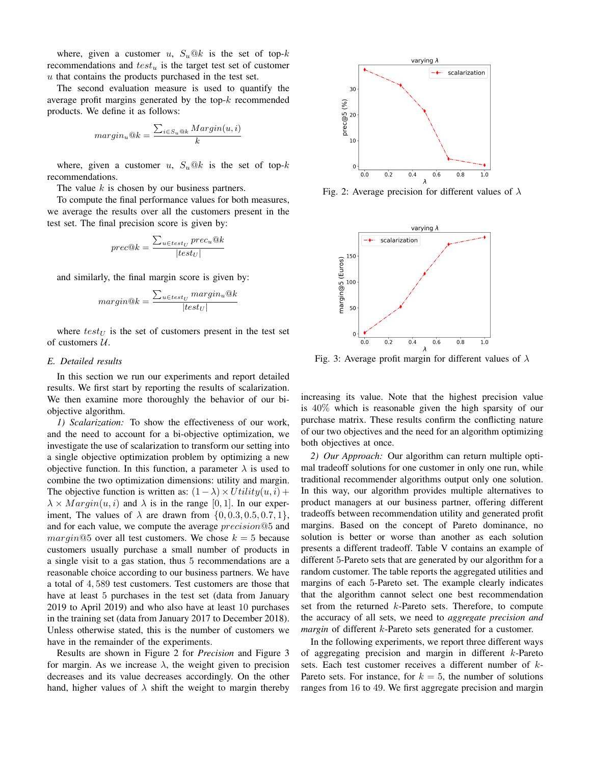where, given a customer u,  $S_u@k$  is the set of top-k recommendations and  $test_u$  is the target test set of customer  $u$  that contains the products purchased in the test set.

The second evaluation measure is used to quantify the average profit margins generated by the top- $k$  recommended products. We define it as follows:

$$
margin_u@k = \frac{\sum_{i \in S_u@k} Margin(u, i)}{k}
$$

where, given a customer u,  $S_u@k$  is the set of top-k recommendations.

The value  $k$  is chosen by our business partners.

To compute the final performance values for both measures, we average the results over all the customers present in the test set. The final precision score is given by:

$$
prec@k = \frac{\sum_{u \in test_U} prec_u@k}{|test_U|}
$$

and similarly, the final margin score is given by:

$$
margin@k = \frac{\sum_{u \in test_U} margin_u@k}{|test_U|}
$$

where  $test_U$  is the set of customers present in the test set of customers  $U$ .

#### *E. Detailed results*

In this section we run our experiments and report detailed results. We first start by reporting the results of scalarization. We then examine more thoroughly the behavior of our biobjective algorithm.

*1) Scalarization:* To show the effectiveness of our work, and the need to account for a bi-objective optimization, we investigate the use of scalarization to transform our setting into a single objective optimization problem by optimizing a new objective function. In this function, a parameter  $\lambda$  is used to combine the two optimization dimensions: utility and margin. The objective function is written as:  $(1 - \lambda) \times Utility(u, i)$  +  $\lambda \times Margin(u, i)$  and  $\lambda$  is in the range [0, 1]. In our experiment, The values of  $\lambda$  are drawn from  $\{0, 0.3, 0.5, 0.7, 1\}$ , and for each value, we compute the average precision@5 and margin@5 over all test customers. We chose  $k = 5$  because customers usually purchase a small number of products in a single visit to a gas station, thus 5 recommendations are a reasonable choice according to our business partners. We have a total of 4, 589 test customers. Test customers are those that have at least 5 purchases in the test set (data from January 2019 to April 2019) and who also have at least 10 purchases in the training set (data from January 2017 to December 2018). Unless otherwise stated, this is the number of customers we have in the remainder of the experiments.

Results are shown in Figure 2 for *Precision* and Figure 3 for margin. As we increase  $\lambda$ , the weight given to precision decreases and its value decreases accordingly. On the other hand, higher values of  $\lambda$  shift the weight to margin thereby



Fig. 2: Average precision for different values of  $\lambda$ 



Fig. 3: Average profit margin for different values of  $\lambda$ 

increasing its value. Note that the highest precision value is 40% which is reasonable given the high sparsity of our purchase matrix. These results confirm the conflicting nature of our two objectives and the need for an algorithm optimizing both objectives at once.

*2) Our Approach:* Our algorithm can return multiple optimal tradeoff solutions for one customer in only one run, while traditional recommender algorithms output only one solution. In this way, our algorithm provides multiple alternatives to product managers at our business partner, offering different tradeoffs between recommendation utility and generated profit margins. Based on the concept of Pareto dominance, no solution is better or worse than another as each solution presents a different tradeoff. Table V contains an example of different 5-Pareto sets that are generated by our algorithm for a random customer. The table reports the aggregated utilities and margins of each 5-Pareto set. The example clearly indicates that the algorithm cannot select one best recommendation set from the returned k-Pareto sets. Therefore, to compute the accuracy of all sets, we need to *aggregate precision and margin* of different *k*-Pareto sets generated for a customer.

In the following experiments, we report three different ways of aggregating precision and margin in different k-Pareto sets. Each test customer receives a different number of k-Pareto sets. For instance, for  $k = 5$ , the number of solutions ranges from 16 to 49. We first aggregate precision and margin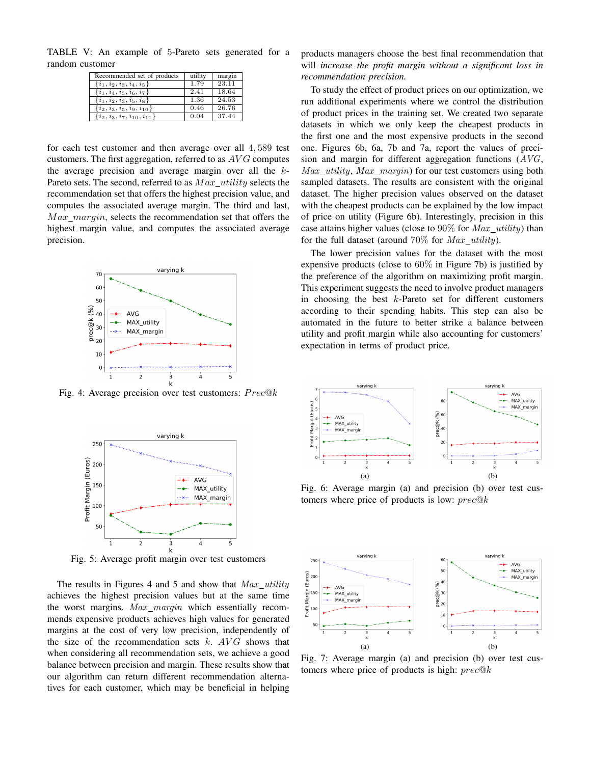TABLE V: An example of 5-Pareto sets generated for a random customer

| Recommended set of products         | utility | margin |
|-------------------------------------|---------|--------|
| $\{i_1, i_2, i_3, i_4, i_5\}$       | 1.79    | 23.11  |
| $\{i_1, i_4, i_5, i_6, i_7\}$       | 2.41    | 18.64  |
| $\{i_1, i_2, i_3, i_5, i_8\}$       | 1.36    | 24.53  |
| $\{i_2, i_3, i_5, i_9, i_{10}\}$    | 0.46    | 26.76  |
| $\{i_2, i_3, i_7, i_{10}, i_{11}\}$ | 0.04    | 37.44  |

for each test customer and then average over all 4, 589 test customers. The first aggregation, referred to as  $AVG$  computes the average precision and average margin over all the  $k$ -Pareto sets. The second, referred to as  $Max \; utility$  selects the recommendation set that offers the highest precision value, and computes the associated average margin. The third and last,  $Max$  margin, selects the recommendation set that offers the highest margin value, and computes the associated average precision.



Fig. 4: Average precision over test customers:  $Prec@k$ 



Fig. 5: Average profit margin over test customers

The results in Figures 4 and 5 and show that  $Max\_utility$ achieves the highest precision values but at the same time the worst margins.  $Max\_margin$  which essentially recommends expensive products achieves high values for generated margins at the cost of very low precision, independently of the size of the recommendation sets  $k$ .  $AVG$  shows that when considering all recommendation sets, we achieve a good balance between precision and margin. These results show that our algorithm can return different recommendation alternatives for each customer, which may be beneficial in helping products managers choose the best final recommendation that will *increase the profit margin without a significant loss in recommendation precision.*

To study the effect of product prices on our optimization, we run additional experiments where we control the distribution of product prices in the training set. We created two separate datasets in which we only keep the cheapest products in the first one and the most expensive products in the second one. Figures 6b, 6a, 7b and 7a, report the values of precision and margin for different aggregation functions  $(AVG,$ Max utility, Max margin) for our test customers using both sampled datasets. The results are consistent with the original dataset. The higher precision values observed on the dataset with the cheapest products can be explained by the low impact of price on utility (Figure 6b). Interestingly, precision in this case attains higher values (close to  $90\%$  for  $Max\_utility$ ) than for the full dataset (around  $70\%$  for  $Max$  utility).

The lower precision values for the dataset with the most expensive products (close to  $60\%$  in Figure 7b) is justified by the preference of the algorithm on maximizing profit margin. This experiment suggests the need to involve product managers in choosing the best  $k$ -Pareto set for different customers according to their spending habits. This step can also be automated in the future to better strike a balance between utility and profit margin while also accounting for customers' expectation in terms of product price.



Fig. 6: Average margin (a) and precision (b) over test customers where price of products is low:  $prec@k$ 



Fig. 7: Average margin (a) and precision (b) over test customers where price of products is high:  $prec@k$